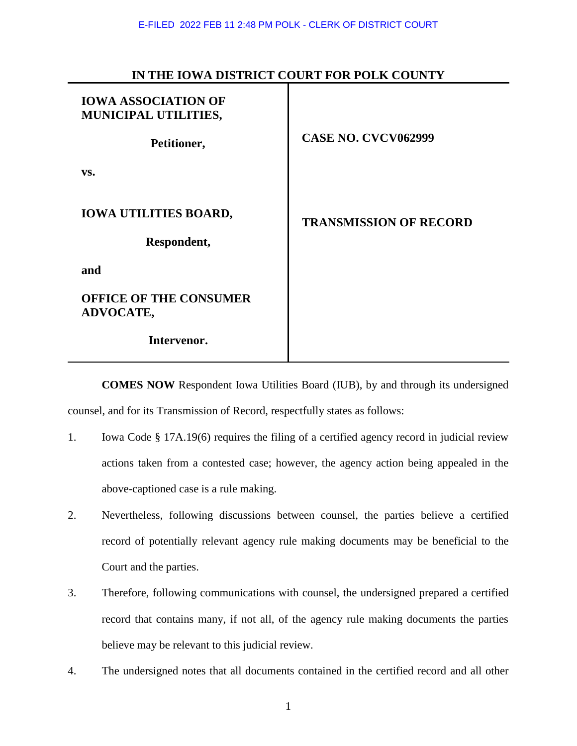| <b>IOWA ASSOCIATION OF</b><br>MUNICIPAL UTILITIES,<br>Petitioner, | <b>CASE NO. CVCV062999</b>    |
|-------------------------------------------------------------------|-------------------------------|
| VS.                                                               |                               |
| <b>IOWA UTILITIES BOARD,</b><br>Respondent,                       | <b>TRANSMISSION OF RECORD</b> |
| and                                                               |                               |
| <b>OFFICE OF THE CONSUMER</b><br><b>ADVOCATE,</b>                 |                               |
| Intervenor.                                                       |                               |

## **IN THE IOWA DISTRICT COURT FOR POLK COUNTY**

**COMES NOW** Respondent Iowa Utilities Board (IUB), by and through its undersigned counsel, and for its Transmission of Record, respectfully states as follows:

- 1. Iowa Code § 17A.19(6) requires the filing of a certified agency record in judicial review actions taken from a contested case; however, the agency action being appealed in the above-captioned case is a rule making.
- 2. Nevertheless, following discussions between counsel, the parties believe a certified record of potentially relevant agency rule making documents may be beneficial to the Court and the parties.
- 3. Therefore, following communications with counsel, the undersigned prepared a certified record that contains many, if not all, of the agency rule making documents the parties believe may be relevant to this judicial review.
- 4. The undersigned notes that all documents contained in the certified record and all other